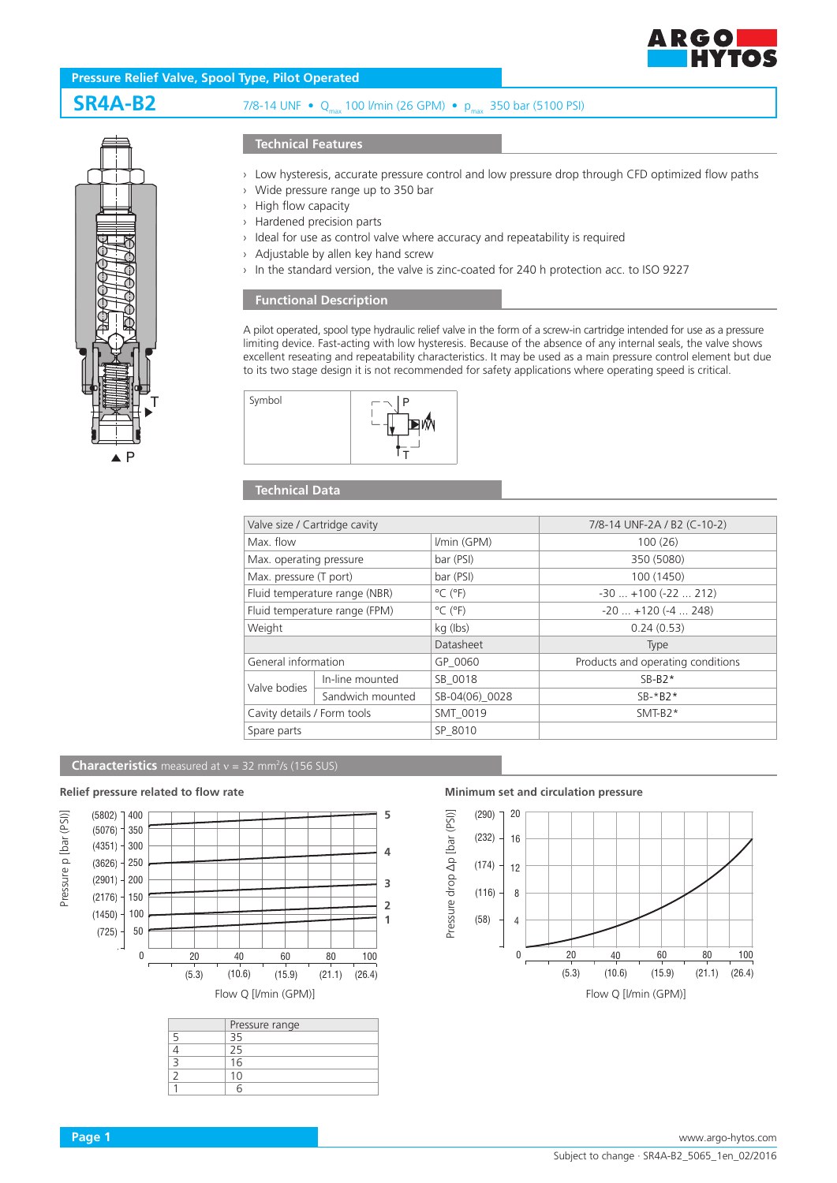

## **Pressure Relief Valve, Spool Type, Pilot Operated**

# **SR4A-B2** 7/8-14 UNF • Qmax 100 l/min (26 GPM) • pmax 350 bar (5100 PSI)



### **Technical Features**

- › Low hysteresis, accurate pressure control and low pressure drop through CFD optimized flow paths
- › Wide pressure range up to 350 bar
- › High flow capacity
- › Hardened precision parts
- › Ideal for use as control valve where accuracy and repeatability is required
- › Adjustable by allen key hand screw
- › In the standard version, the valve is zinc-coated for 240 h protection acc. to ISO 9227

### **Functional Description**

A pilot operated, spool type hydraulic relief valve in the form of a screw-in cartridge intended for use as a pressure limiting device. Fast-acting with low hysteresis. Because of the absence of any internal seals, the valve shows excellent reseating and repeatability characteristics. It may be used as a main pressure control element but due to its two stage design it is not recommended for safety applications where operating speed is critical.



## **Technical Data**

| Valve size / Cartridge cavity |                  |                              | 7/8-14 UNF-2A / B2 (C-10-2)       |
|-------------------------------|------------------|------------------------------|-----------------------------------|
| Max flow                      |                  | I/min (GPM)                  | 100(26)                           |
| Max. operating pressure       |                  | bar (PSI)                    | 350 (5080)                        |
| Max. pressure (T port)        |                  | bar (PSI)                    | 100 (1450)                        |
| Fluid temperature range (NBR) |                  | $^{\circ}$ C ( $^{\circ}$ F) | $-30$ $+100$ ( $-22$ 212)         |
| Fluid temperature range (FPM) |                  | $^{\circ}$ C ( $^{\circ}$ F) | $-20$ $+120$ ( $-4$ 248)          |
| Weight                        |                  | kg (lbs)                     | 0.24(0.53)                        |
|                               |                  | Datasheet                    | <b>Type</b>                       |
| General information           |                  | GP 0060                      | Products and operating conditions |
| Valve bodies                  | In-line mounted  | SB_0018                      | $SB-B2*$                          |
|                               | Sandwich mounted | SB-04(06) 0028               | $SB-*B2*$                         |
| Cavity details / Form tools   |                  | SMT 0019                     | $SMT-B2*$                         |
| Spare parts                   |                  | SP 8010                      |                                   |
|                               |                  |                              |                                   |

#### **Characteristics** measured at  $v = 32$  mm<sup>2</sup>/s (156 SUS)



| Pressure range |  |
|----------------|--|
|                |  |
| 25             |  |
| 16             |  |
| 10             |  |
|                |  |

**Relief pressure related to flow rate Minimum set and circulation pressure**